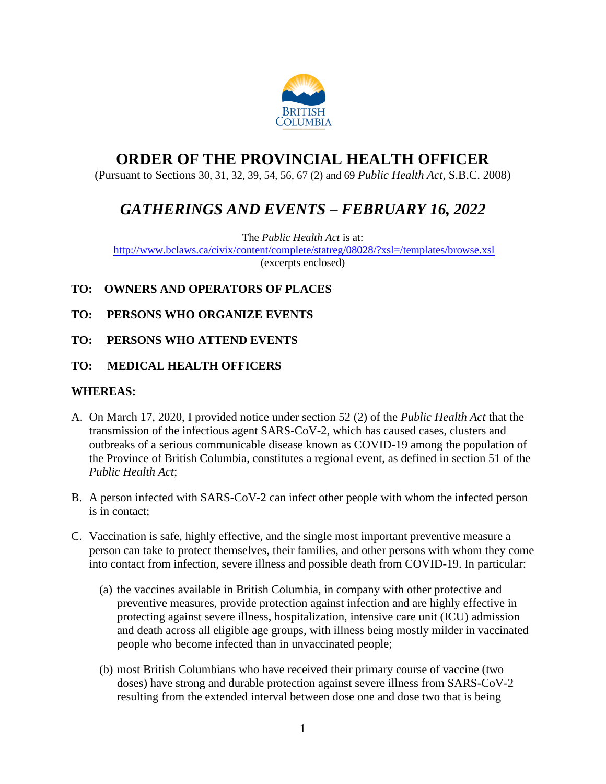

# **ORDER OF THE PROVINCIAL HEALTH OFFICER**

(Pursuant to Sections 30, 31, 32, 39, 54, 56, 67 (2) and 69 *Public Health Act*, S.B.C. 2008)

# *GATHERINGS AND EVENTS – FEBRUARY 16, 2022*

The *Public Health Act* is at:

<http://www.bclaws.ca/civix/content/complete/statreg/08028/?xsl=/templates/browse.xsl> (excerpts enclosed)

## **TO: OWNERS AND OPERATORS OF PLACES**

- **TO: PERSONS WHO ORGANIZE EVENTS**
- **TO: PERSONS WHO ATTEND EVENTS**

## **TO: MEDICAL HEALTH OFFICERS**

## **WHEREAS:**

- A. On March 17, 2020, I provided notice under section 52 (2) of the *Public Health Act* that the transmission of the infectious agent SARS-CoV-2, which has caused cases, clusters and outbreaks of a serious communicable disease known as COVID-19 among the population of the Province of British Columbia, constitutes a regional event, as defined in section 51 of the *Public Health Act*;
- B. A person infected with SARS-CoV-2 can infect other people with whom the infected person is in contact;
- C. Vaccination is safe, highly effective, and the single most important preventive measure a person can take to protect themselves, their families, and other persons with whom they come into contact from infection, severe illness and possible death from COVID-19. In particular:
	- (a) the vaccines available in British Columbia, in company with other protective and preventive measures, provide protection against infection and are highly effective in protecting against severe illness, hospitalization, intensive care unit (ICU) admission and death across all eligible age groups, with illness being mostly milder in vaccinated people who become infected than in unvaccinated people;
	- (b) most British Columbians who have received their primary course of vaccine (two doses) have strong and durable protection against severe illness from SARS-CoV-2 resulting from the extended interval between dose one and dose two that is being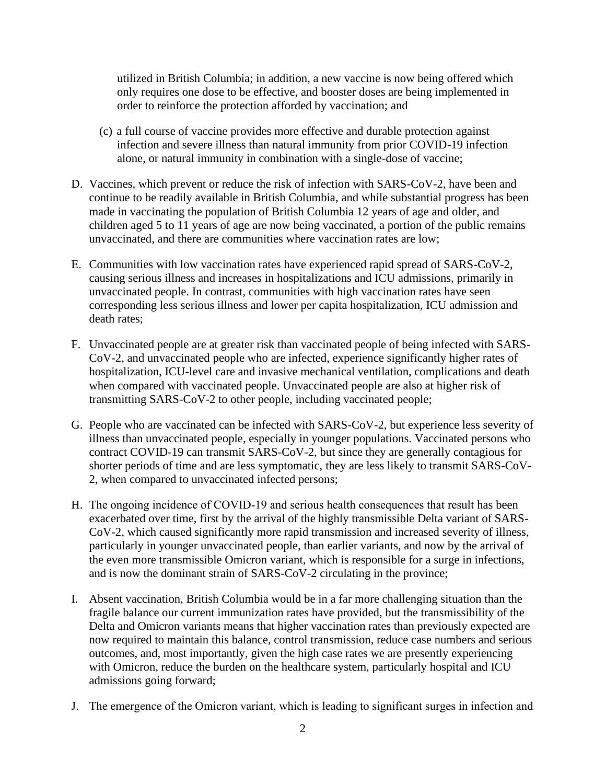utilized in British Columbia; in addition, a new vaccine is now being offered which only requires one dose to be effective, and booster doses are being implemented in order to reinforce the protection afforded by vaccination; and

- (c) a full course of vaccine provides more effective and durable protection against infection and severe illness than natural immunity from prior COVID-19 infection alone, or natural immunity in combination with a single-dose of vaccine;
- D. Vaccines, which prevent or reduce the risk of infection with SARS-CoV-2, have been and continue to be readily available in British Columbia, and while substantial progress has been made in vaccinating the population of British Columbia 12 years of age and older, and children aged 5 to 11 years of age are now being vaccinated, a portion of the public remains unvaccinated, and there are communities where vaccination rates are low;
- E. Communities with low vaccination rates have experienced rapid spread of SARS-CoV-2, causing serious illness and increases in hospitalizations and ICU admissions, primarily in unvaccinated people. In contrast, communities with high vaccination rates have seen corresponding less serious illness and lower per capita hospitalization, ICU admission and death rates;
- F. Unvaccinated people are at greater risk than vaccinated people of being infected with SARS-CoV-2, and unvaccinated people who are infected, experience significantly higher rates of hospitalization, ICU-level care and invasive mechanical ventilation, complications and death when compared with vaccinated people. Unvaccinated people are also at higher risk of transmitting SARS-CoV-2 to other people, including vaccinated people;
- G. People who are vaccinated can be infected with SARS-CoV-2, but experience less severity of illness than unvaccinated people, especially in younger populations. Vaccinated persons who contract COVID-19 can transmit SARS-CoV-2, but since they are generally contagious for shorter periods of time and are less symptomatic, they are less likely to transmit SARS-CoV-2, when compared to unvaccinated infected persons;
- H. The ongoing incidence of COVID-19 and serious health consequences that result has been exacerbated over time, first by the arrival of the highly transmissible Delta variant of SARS-CoV-2, which caused significantly more rapid transmission and increased severity of illness, particularly in younger unvaccinated people, than earlier variants, and now by the arrival of the even more transmissible Omicron variant, which is responsible for a surge in infections, and is now the dominant strain of SARS-CoV-2 circulating in the province;
- I. Absent vaccination, British Columbia would be in a far more challenging situation than the fragile balance our current immunization rates have provided, but the transmissibility of the Delta and Omicron variants means that higher vaccination rates than previously expected are now required to maintain this balance, control transmission, reduce case numbers and serious outcomes, and, most importantly, given the high case rates we are presently experiencing with Omicron, reduce the burden on the healthcare system, particularly hospital and ICU admissions going forward;
- J. The emergence of the Omicron variant, which is leading to significant surges in infection and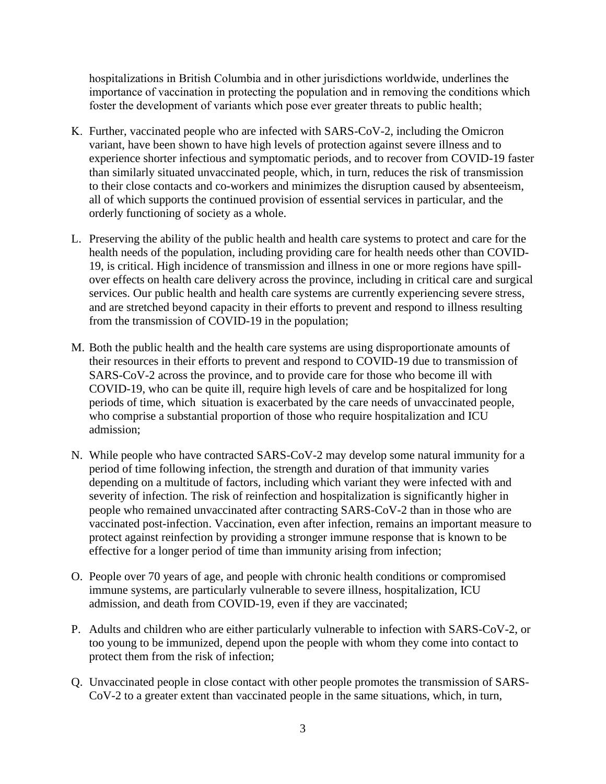hospitalizations in British Columbia and in other jurisdictions worldwide, underlines the importance of vaccination in protecting the population and in removing the conditions which foster the development of variants which pose ever greater threats to public health;

- K. Further, vaccinated people who are infected with SARS-CoV-2, including the Omicron variant, have been shown to have high levels of protection against severe illness and to experience shorter infectious and symptomatic periods, and to recover from COVID-19 faster than similarly situated unvaccinated people, which, in turn, reduces the risk of transmission to their close contacts and co-workers and minimizes the disruption caused by absenteeism, all of which supports the continued provision of essential services in particular, and the orderly functioning of society as a whole.
- L. Preserving the ability of the public health and health care systems to protect and care for the health needs of the population, including providing care for health needs other than COVID-19, is critical. High incidence of transmission and illness in one or more regions have spillover effects on health care delivery across the province, including in critical care and surgical services. Our public health and health care systems are currently experiencing severe stress, and are stretched beyond capacity in their efforts to prevent and respond to illness resulting from the transmission of COVID-19 in the population;
- M. Both the public health and the health care systems are using disproportionate amounts of their resources in their efforts to prevent and respond to COVID-19 due to transmission of SARS-CoV-2 across the province, and to provide care for those who become ill with COVID-19, who can be quite ill, require high levels of care and be hospitalized for long periods of time, which situation is exacerbated by the care needs of unvaccinated people, who comprise a substantial proportion of those who require hospitalization and ICU admission;
- N. While people who have contracted SARS-CoV-2 may develop some natural immunity for a period of time following infection, the strength and duration of that immunity varies depending on a multitude of factors, including which variant they were infected with and severity of infection. The risk of reinfection and hospitalization is significantly higher in people who remained unvaccinated after contracting SARS-CoV-2 than in those who are vaccinated post-infection. Vaccination, even after infection, remains an important measure to protect against reinfection by providing a stronger immune response that is known to be effective for a longer period of time than immunity arising from infection;
- O. People over 70 years of age, and people with chronic health conditions or compromised immune systems, are particularly vulnerable to severe illness, hospitalization, ICU admission, and death from COVID-19, even if they are vaccinated;
- P. Adults and children who are either particularly vulnerable to infection with SARS-CoV-2, or too young to be immunized, depend upon the people with whom they come into contact to protect them from the risk of infection;
- Q. Unvaccinated people in close contact with other people promotes the transmission of SARS-CoV-2 to a greater extent than vaccinated people in the same situations, which, in turn,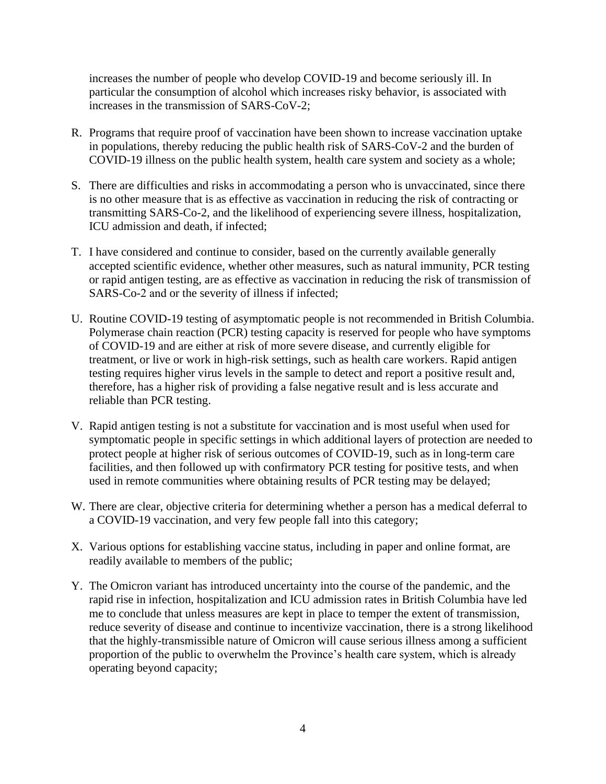increases the number of people who develop COVID-19 and become seriously ill. In particular the consumption of alcohol which increases risky behavior, is associated with increases in the transmission of SARS-CoV-2;

- R. Programs that require proof of vaccination have been shown to increase vaccination uptake in populations, thereby reducing the public health risk of SARS-CoV-2 and the burden of COVID-19 illness on the public health system, health care system and society as a whole;
- S. There are difficulties and risks in accommodating a person who is unvaccinated, since there is no other measure that is as effective as vaccination in reducing the risk of contracting or transmitting SARS-Co-2, and the likelihood of experiencing severe illness, hospitalization, ICU admission and death, if infected;
- T. I have considered and continue to consider, based on the currently available generally accepted scientific evidence, whether other measures, such as natural immunity, PCR testing or rapid antigen testing, are as effective as vaccination in reducing the risk of transmission of SARS-Co-2 and or the severity of illness if infected;
- U. Routine COVID-19 testing of asymptomatic people is not recommended in British Columbia. Polymerase chain reaction (PCR) testing capacity is reserved for people who have symptoms of COVID-19 and are either at risk of more severe disease, and currently eligible for treatment, or live or work in high-risk settings, such as health care workers. Rapid antigen testing requires higher virus levels in the sample to detect and report a positive result and, therefore, has a higher risk of providing a false negative result and is less accurate and reliable than PCR testing.
- V. Rapid antigen testing is not a substitute for vaccination and is most useful when used for symptomatic people in specific settings in which additional layers of protection are needed to protect people at higher risk of serious outcomes of COVID-19, such as in long-term care facilities, and then followed up with confirmatory PCR testing for positive tests, and when used in remote communities where obtaining results of PCR testing may be delayed;
- W. There are clear, objective criteria for determining whether a person has a medical deferral to a COVID-19 vaccination, and very few people fall into this category;
- X. Various options for establishing vaccine status, including in paper and online format, are readily available to members of the public;
- Y. The Omicron variant has introduced uncertainty into the course of the pandemic, and the rapid rise in infection, hospitalization and ICU admission rates in British Columbia have led me to conclude that unless measures are kept in place to temper the extent of transmission, reduce severity of disease and continue to incentivize vaccination, there is a strong likelihood that the highly-transmissible nature of Omicron will cause serious illness among a sufficient proportion of the public to overwhelm the Province's health care system, which is already operating beyond capacity;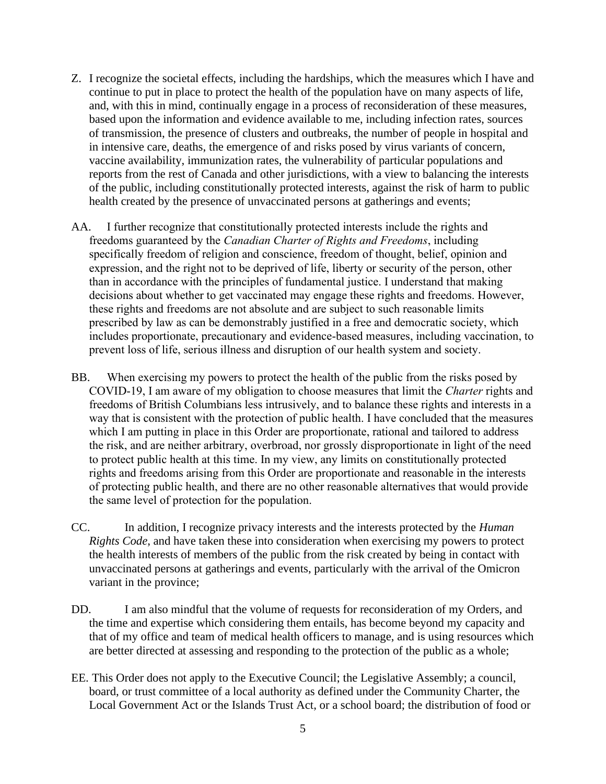- Z. I recognize the societal effects, including the hardships, which the measures which I have and continue to put in place to protect the health of the population have on many aspects of life, and, with this in mind, continually engage in a process of reconsideration of these measures, based upon the information and evidence available to me, including infection rates, sources of transmission, the presence of clusters and outbreaks, the number of people in hospital and in intensive care, deaths, the emergence of and risks posed by virus variants of concern, vaccine availability, immunization rates, the vulnerability of particular populations and reports from the rest of Canada and other jurisdictions, with a view to balancing the interests of the public, including constitutionally protected interests, against the risk of harm to public health created by the presence of unvaccinated persons at gatherings and events;
- AA. I further recognize that constitutionally protected interests include the rights and freedoms guaranteed by the *Canadian Charter of Rights and Freedoms*, including specifically freedom of religion and conscience, freedom of thought, belief, opinion and expression, and the right not to be deprived of life, liberty or security of the person, other than in accordance with the principles of fundamental justice. I understand that making decisions about whether to get vaccinated may engage these rights and freedoms. However, these rights and freedoms are not absolute and are subject to such reasonable limits prescribed by law as can be demonstrably justified in a free and democratic society, which includes proportionate, precautionary and evidence-based measures, including vaccination, to prevent loss of life, serious illness and disruption of our health system and society.
- BB. When exercising my powers to protect the health of the public from the risks posed by COVID-19, I am aware of my obligation to choose measures that limit the *Charter* rights and freedoms of British Columbians less intrusively, and to balance these rights and interests in a way that is consistent with the protection of public health. I have concluded that the measures which I am putting in place in this Order are proportionate, rational and tailored to address the risk, and are neither arbitrary, overbroad, nor grossly disproportionate in light of the need to protect public health at this time. In my view, any limits on constitutionally protected rights and freedoms arising from this Order are proportionate and reasonable in the interests of protecting public health, and there are no other reasonable alternatives that would provide the same level of protection for the population.
- CC. In addition, I recognize privacy interests and the interests protected by the *Human Rights Code*, and have taken these into consideration when exercising my powers to protect the health interests of members of the public from the risk created by being in contact with unvaccinated persons at gatherings and events, particularly with the arrival of the Omicron variant in the province;
- DD. I am also mindful that the volume of requests for reconsideration of my Orders, and the time and expertise which considering them entails, has become beyond my capacity and that of my office and team of medical health officers to manage, and is using resources which are better directed at assessing and responding to the protection of the public as a whole;
- EE. This Order does not apply to the Executive Council; the Legislative Assembly; a council, board, or trust committee of a local authority as defined under the Community Charter, the Local Government Act or the Islands Trust Act, or a school board; the distribution of food or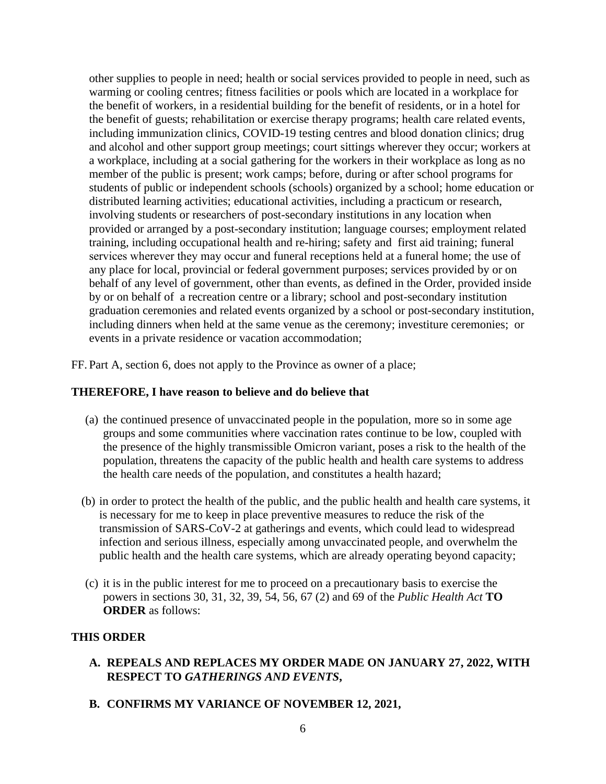other supplies to people in need; health or social services provided to people in need, such as warming or cooling centres; fitness facilities or pools which are located in a workplace for the benefit of workers, in a residential building for the benefit of residents, or in a hotel for the benefit of guests; rehabilitation or exercise therapy programs; health care related events, including immunization clinics, COVID-19 testing centres and blood donation clinics; drug and alcohol and other support group meetings; court sittings wherever they occur; workers at a workplace, including at a social gathering for the workers in their workplace as long as no member of the public is present; work camps; before, during or after school programs for students of public or independent schools (schools) organized by a school; home education or distributed learning activities; educational activities, including a practicum or research, involving students or researchers of post-secondary institutions in any location when provided or arranged by a post-secondary institution; language courses; employment related training, including occupational health and re-hiring; safety and first aid training; funeral services wherever they may occur and funeral receptions held at a funeral home; the use of any place for local, provincial or federal government purposes; services provided by or on behalf of any level of government, other than events, as defined in the Order, provided inside by or on behalf of a recreation centre or a library; school and post-secondary institution graduation ceremonies and related events organized by a school or post-secondary institution, including dinners when held at the same venue as the ceremony; investiture ceremonies; or events in a private residence or vacation accommodation;

FF. Part A, section 6, does not apply to the Province as owner of a place;

#### **THEREFORE, I have reason to believe and do believe that**

- (a) the continued presence of unvaccinated people in the population, more so in some age groups and some communities where vaccination rates continue to be low, coupled with the presence of the highly transmissible Omicron variant, poses a risk to the health of the population, threatens the capacity of the public health and health care systems to address the health care needs of the population, and constitutes a health hazard;
- (b) in order to protect the health of the public, and the public health and health care systems, it is necessary for me to keep in place preventive measures to reduce the risk of the transmission of SARS-CoV-2 at gatherings and events, which could lead to widespread infection and serious illness, especially among unvaccinated people, and overwhelm the public health and the health care systems, which are already operating beyond capacity;
- (c) it is in the public interest for me to proceed on a precautionary basis to exercise the powers in sections 30, 31, 32, 39, 54, 56, 67 (2) and 69 of the *Public Health Act* **TO ORDER** as follows:

#### **THIS ORDER**

- **A. REPEALS AND REPLACES MY ORDER MADE ON JANUARY 27, 2022, WITH RESPECT TO** *GATHERINGS AND EVENTS***,**
- **B. CONFIRMS MY VARIANCE OF NOVEMBER 12, 2021,**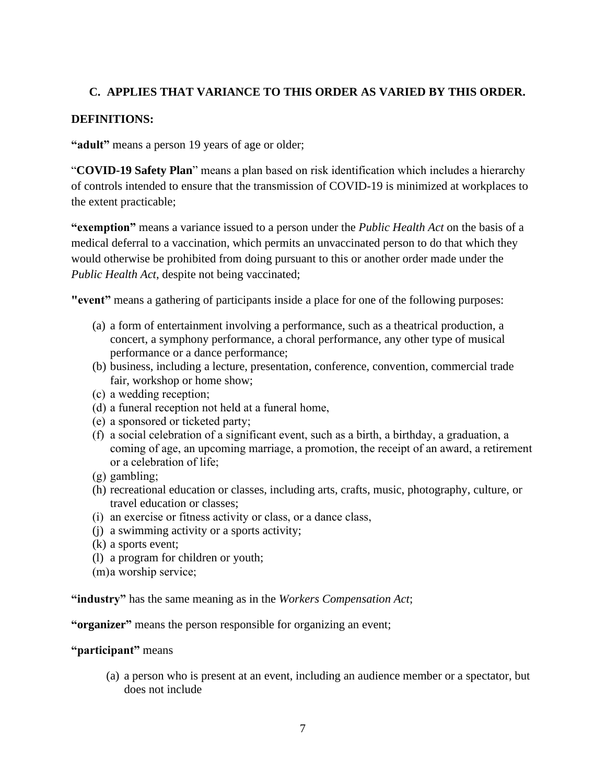# **C. APPLIES THAT VARIANCE TO THIS ORDER AS VARIED BY THIS ORDER.**

### **DEFINITIONS:**

**"adult"** means a person 19 years of age or older;

"**COVID-19 Safety Plan**" means a plan based on risk identification which includes a hierarchy of controls intended to ensure that the transmission of COVID-19 is minimized at workplaces to the extent practicable;

**"exemption"** means a variance issued to a person under the *Public Health Act* on the basis of a medical deferral to a vaccination, which permits an unvaccinated person to do that which they would otherwise be prohibited from doing pursuant to this or another order made under the *Public Health Act*, despite not being vaccinated;

**"event"** means a gathering of participants inside a place for one of the following purposes:

- (a) a form of entertainment involving a performance, such as a theatrical production, a concert, a symphony performance, a choral performance, any other type of musical performance or a dance performance;
- (b) business, including a lecture, presentation, conference, convention, commercial trade fair, workshop or home show;
- (c) a wedding reception;
- (d) a funeral reception not held at a funeral home,
- (e) a sponsored or ticketed party;
- (f) a social celebration of a significant event, such as a birth, a birthday, a graduation, a coming of age, an upcoming marriage, a promotion, the receipt of an award, a retirement or a celebration of life;
- (g) gambling;
- (h) recreational education or classes, including arts, crafts, music, photography, culture, or travel education or classes;
- (i) an exercise or fitness activity or class, or a dance class,
- (j) a swimming activity or a sports activity;
- (k) a sports event;
- (l) a program for children or youth;
- (m)a worship service;

**"industry"** has the same meaning as in the *Workers Compensation Act*;

**"organizer"** means the person responsible for organizing an event;

#### **"participant"** means

(a) a person who is present at an event, including an audience member or a spectator, but does not include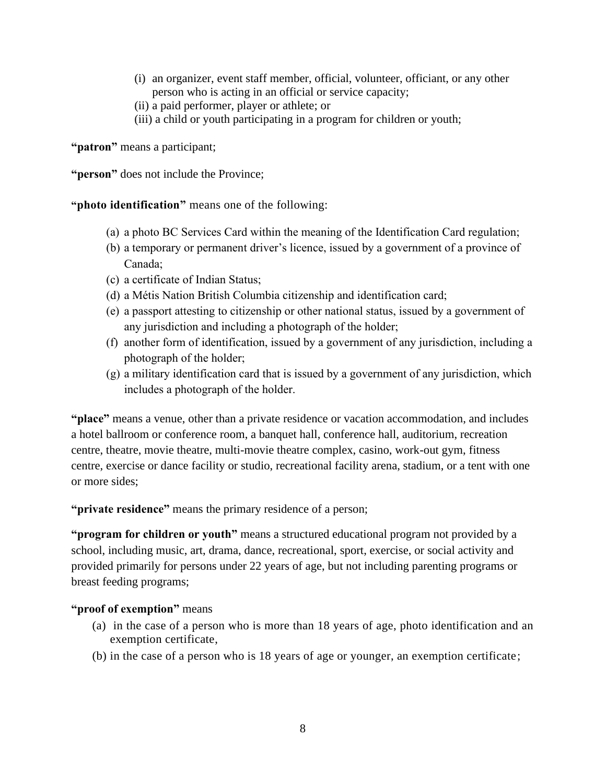- (i) an organizer, event staff member, official, volunteer, officiant, or any other person who is acting in an official or service capacity;
- (ii) a paid performer, player or athlete; or
- (iii) a child or youth participating in a program for children or youth;

**"patron"** means a participant;

**"person"** does not include the Province;

**"photo identification"** means one of the following:

- (a) a photo BC Services Card within the meaning of the Identification Card regulation;
- (b) a temporary or permanent driver's licence, issued by a government of a province of Canada;
- (c) a certificate of Indian Status;
- (d) a Métis Nation British Columbia citizenship and identification card;
- (e) a passport attesting to citizenship or other national status, issued by a government of any jurisdiction and including a photograph of the holder;
- (f) another form of identification, issued by a government of any jurisdiction, including a photograph of the holder;
- (g) a military identification card that is issued by a government of any jurisdiction, which includes a photograph of the holder.

**"place"** means a venue, other than a private residence or vacation accommodation, and includes a hotel ballroom or conference room, a banquet hall, conference hall, auditorium, recreation centre, theatre, movie theatre, multi-movie theatre complex, casino, work-out gym, fitness centre, exercise or dance facility or studio, recreational facility arena, stadium, or a tent with one or more sides;

**"private residence"** means the primary residence of a person;

**"program for children or youth"** means a structured educational program not provided by a school, including music, art, drama, dance, recreational, sport, exercise, or social activity and provided primarily for persons under 22 years of age, but not including parenting programs or breast feeding programs;

#### **"proof of exemption"** means

- (a) in the case of a person who is more than 18 years of age, photo identification and an exemption certificate,
- (b) in the case of a person who is 18 years of age or younger, an exemption certificate;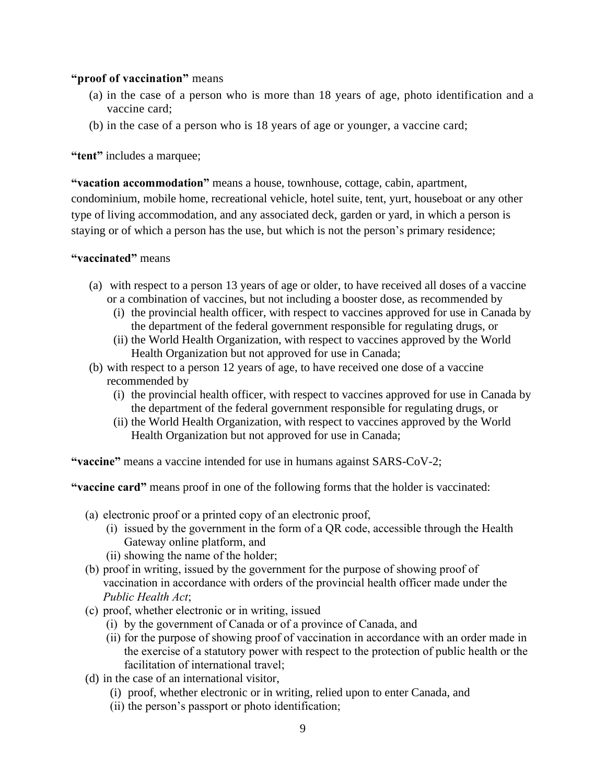## **"proof of vaccination"** means

- (a) in the case of a person who is more than 18 years of age, photo identification and a vaccine card;
- (b) in the case of a person who is 18 years of age or younger, a vaccine card;

### **"tent"** includes a marquee;

**"vacation accommodation"** means a house, townhouse, cottage, cabin, apartment, condominium, mobile home, recreational vehicle, hotel suite, tent, yurt, houseboat or any other type of living accommodation, and any associated deck, garden or yard, in which a person is staying or of which a person has the use, but which is not the person's primary residence;

### **"vaccinated"** means

- (a) with respect to a person 13 years of age or older, to have received all doses of a vaccine or a combination of vaccines, but not including a booster dose, as recommended by
	- (i) the provincial health officer, with respect to vaccines approved for use in Canada by the department of the federal government responsible for regulating drugs, or
	- (ii) the World Health Organization, with respect to vaccines approved by the World Health Organization but not approved for use in Canada;
- (b) with respect to a person 12 years of age, to have received one dose of a vaccine recommended by
	- (i) the provincial health officer, with respect to vaccines approved for use in Canada by the department of the federal government responsible for regulating drugs, or
	- (ii) the World Health Organization, with respect to vaccines approved by the World Health Organization but not approved for use in Canada;

**"vaccine"** means a vaccine intended for use in humans against SARS-CoV-2;

**"vaccine card"** means proof in one of the following forms that the holder is vaccinated:

- (a) electronic proof or a printed copy of an electronic proof,
	- (i) issued by the government in the form of a QR code, accessible through the Health Gateway online platform, and
	- (ii) showing the name of the holder;
- (b) proof in writing, issued by the government for the purpose of showing proof of vaccination in accordance with orders of the provincial health officer made under the *Public Health Act*;
- (c) proof, whether electronic or in writing, issued
	- (i) by the government of Canada or of a province of Canada, and
	- (ii) for the purpose of showing proof of vaccination in accordance with an order made in the exercise of a statutory power with respect to the protection of public health or the facilitation of international travel;
- (d) in the case of an international visitor,
	- (i) proof, whether electronic or in writing, relied upon to enter Canada, and
	- (ii) the person's passport or photo identification;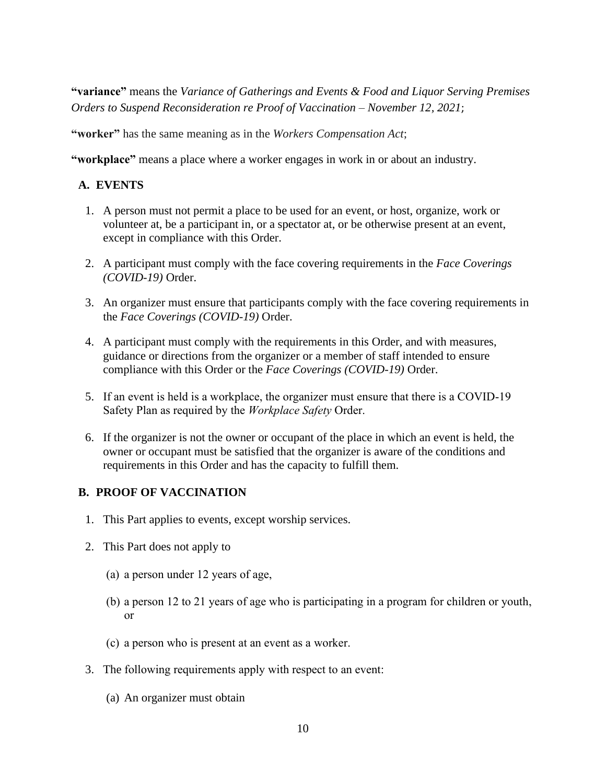**"variance"** means the *Variance of Gatherings and Events & Food and Liquor Serving Premises Orders to Suspend Reconsideration re Proof of Vaccination – November 12, 2021*;

**"worker"** has the same meaning as in the *Workers Compensation Act*;

**"workplace"** means a place where a worker engages in work in or about an industry.

# **A. EVENTS**

- 1. A person must not permit a place to be used for an event, or host, organize, work or volunteer at, be a participant in, or a spectator at, or be otherwise present at an event, except in compliance with this Order.
- 2. A participant must comply with the face covering requirements in the *Face Coverings (COVID-19)* Order.
- 3. An organizer must ensure that participants comply with the face covering requirements in the *Face Coverings (COVID-19)* Order.
- 4. A participant must comply with the requirements in this Order, and with measures, guidance or directions from the organizer or a member of staff intended to ensure compliance with this Order or the *Face Coverings (COVID-19)* Order.
- 5. If an event is held is a workplace, the organizer must ensure that there is a COVID-19 Safety Plan as required by the *Workplace Safety* Order.
- 6. If the organizer is not the owner or occupant of the place in which an event is held, the owner or occupant must be satisfied that the organizer is aware of the conditions and requirements in this Order and has the capacity to fulfill them.

## **B. PROOF OF VACCINATION**

- 1. This Part applies to events, except worship services.
- 2. This Part does not apply to
	- (a) a person under 12 years of age,
	- (b) a person 12 to 21 years of age who is participating in a program for children or youth, or
	- (c) a person who is present at an event as a worker.
- 3. The following requirements apply with respect to an event:
	- (a) An organizer must obtain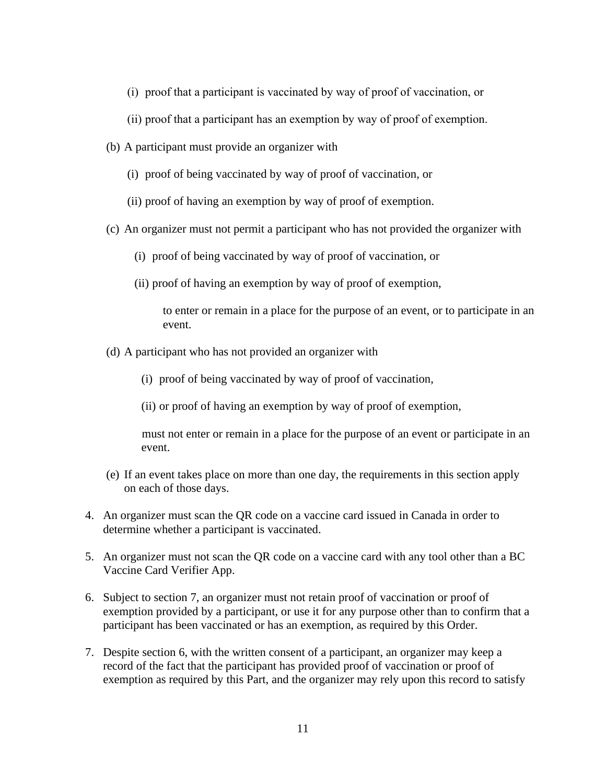- (i) proof that a participant is vaccinated by way of proof of vaccination, or
- (ii) proof that a participant has an exemption by way of proof of exemption.
- (b) A participant must provide an organizer with
	- (i) proof of being vaccinated by way of proof of vaccination, or
	- (ii) proof of having an exemption by way of proof of exemption.
- (c) An organizer must not permit a participant who has not provided the organizer with
	- (i) proof of being vaccinated by way of proof of vaccination, or
	- (ii) proof of having an exemption by way of proof of exemption,

to enter or remain in a place for the purpose of an event, or to participate in an event.

- (d) A participant who has not provided an organizer with
	- (i) proof of being vaccinated by way of proof of vaccination,
	- (ii) or proof of having an exemption by way of proof of exemption,

must not enter or remain in a place for the purpose of an event or participate in an event.

- (e) If an event takes place on more than one day, the requirements in this section apply on each of those days.
- 4. An organizer must scan the QR code on a vaccine card issued in Canada in order to determine whether a participant is vaccinated.
- 5. An organizer must not scan the QR code on a vaccine card with any tool other than a BC Vaccine Card Verifier App.
- 6. Subject to section 7, an organizer must not retain proof of vaccination or proof of exemption provided by a participant, or use it for any purpose other than to confirm that a participant has been vaccinated or has an exemption, as required by this Order.
- 7. Despite section 6, with the written consent of a participant, an organizer may keep a record of the fact that the participant has provided proof of vaccination or proof of exemption as required by this Part, and the organizer may rely upon this record to satisfy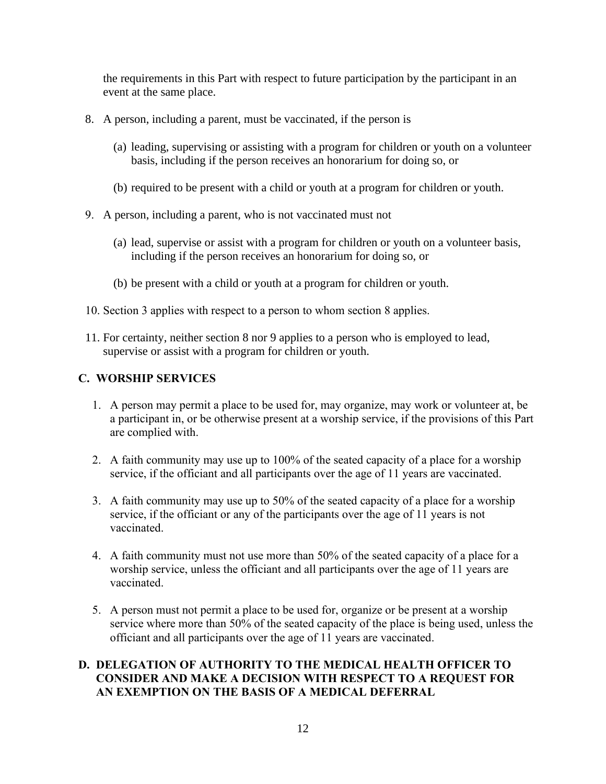the requirements in this Part with respect to future participation by the participant in an event at the same place.

- 8. A person, including a parent, must be vaccinated, if the person is
	- (a) leading, supervising or assisting with a program for children or youth on a volunteer basis, including if the person receives an honorarium for doing so, or
	- (b) required to be present with a child or youth at a program for children or youth.
- 9. A person, including a parent, who is not vaccinated must not
	- (a) lead, supervise or assist with a program for children or youth on a volunteer basis, including if the person receives an honorarium for doing so, or
	- (b) be present with a child or youth at a program for children or youth.
- 10. Section 3 applies with respect to a person to whom section 8 applies.
- 11. For certainty, neither section 8 nor 9 applies to a person who is employed to lead, supervise or assist with a program for children or youth.

## **C. WORSHIP SERVICES**

- 1. A person may permit a place to be used for, may organize, may work or volunteer at, be a participant in, or be otherwise present at a worship service, if the provisions of this Part are complied with.
- 2. A faith community may use up to 100% of the seated capacity of a place for a worship service, if the officiant and all participants over the age of 11 years are vaccinated.
- 3. A faith community may use up to 50% of the seated capacity of a place for a worship service, if the officiant or any of the participants over the age of 11 years is not vaccinated.
- 4. A faith community must not use more than 50% of the seated capacity of a place for a worship service, unless the officiant and all participants over the age of 11 years are vaccinated.
- 5. A person must not permit a place to be used for, organize or be present at a worship service where more than 50% of the seated capacity of the place is being used, unless the officiant and all participants over the age of 11 years are vaccinated.

## **D. DELEGATION OF AUTHORITY TO THE MEDICAL HEALTH OFFICER TO CONSIDER AND MAKE A DECISION WITH RESPECT TO A REQUEST FOR AN EXEMPTION ON THE BASIS OF A MEDICAL DEFERRAL**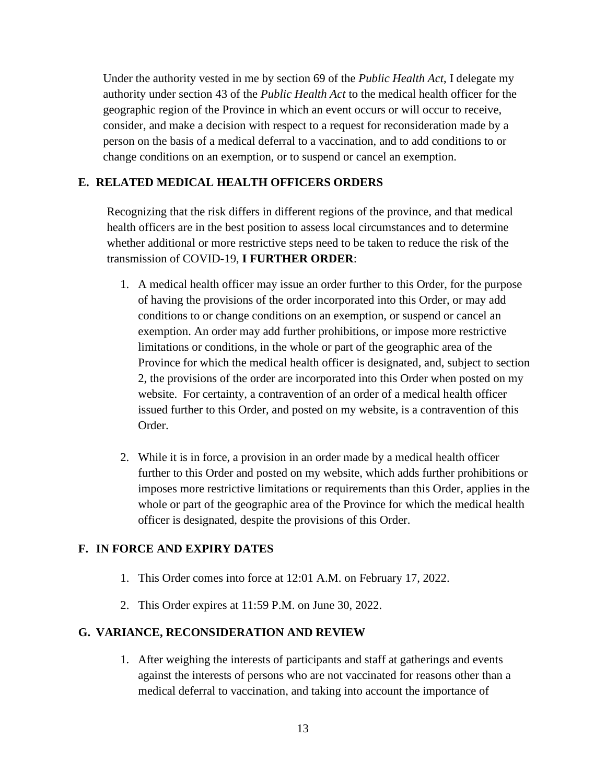Under the authority vested in me by section 69 of the *Public Health Act*, I delegate my authority under section 43 of the *Public Health Act* to the medical health officer for the geographic region of the Province in which an event occurs or will occur to receive, consider, and make a decision with respect to a request for reconsideration made by a person on the basis of a medical deferral to a vaccination, and to add conditions to or change conditions on an exemption, or to suspend or cancel an exemption.

## **E. RELATED MEDICAL HEALTH OFFICERS ORDERS**

Recognizing that the risk differs in different regions of the province, and that medical health officers are in the best position to assess local circumstances and to determine whether additional or more restrictive steps need to be taken to reduce the risk of the transmission of COVID-19, **I FURTHER ORDER**:

- 1. A medical health officer may issue an order further to this Order, for the purpose of having the provisions of the order incorporated into this Order, or may add conditions to or change conditions on an exemption, or suspend or cancel an exemption. An order may add further prohibitions, or impose more restrictive limitations or conditions, in the whole or part of the geographic area of the Province for which the medical health officer is designated, and, subject to section 2, the provisions of the order are incorporated into this Order when posted on my website. For certainty, a contravention of an order of a medical health officer issued further to this Order, and posted on my website, is a contravention of this Order.
- 2. While it is in force, a provision in an order made by a medical health officer further to this Order and posted on my website, which adds further prohibitions or imposes more restrictive limitations or requirements than this Order, applies in the whole or part of the geographic area of the Province for which the medical health officer is designated, despite the provisions of this Order.

#### **F. IN FORCE AND EXPIRY DATES**

- 1. This Order comes into force at 12:01 A.M. on February 17, 2022.
- 2. This Order expires at 11:59 P.M. on June 30, 2022.

#### **G. VARIANCE, RECONSIDERATION AND REVIEW**

1. After weighing the interests of participants and staff at gatherings and events against the interests of persons who are not vaccinated for reasons other than a medical deferral to vaccination, and taking into account the importance of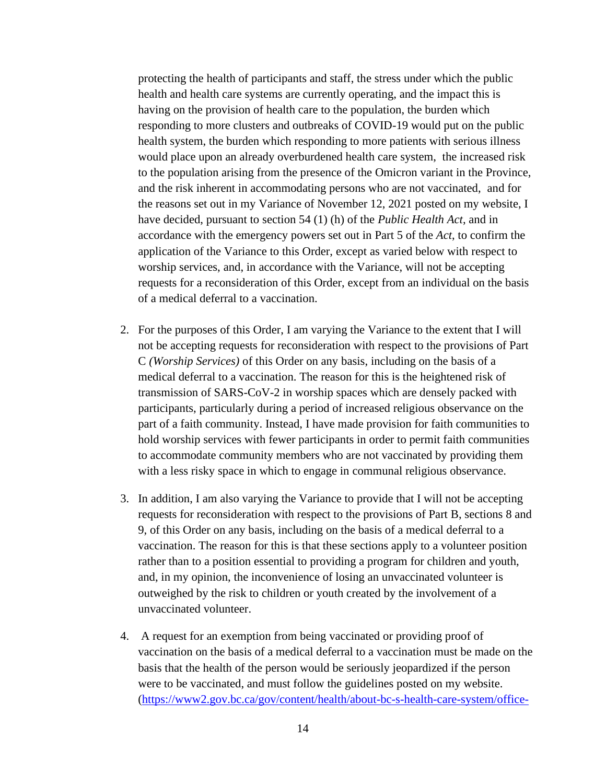protecting the health of participants and staff, the stress under which the public health and health care systems are currently operating, and the impact this is having on the provision of health care to the population, the burden which responding to more clusters and outbreaks of COVID-19 would put on the public health system, the burden which responding to more patients with serious illness would place upon an already overburdened health care system, the increased risk to the population arising from the presence of the Omicron variant in the Province, and the risk inherent in accommodating persons who are not vaccinated, and for the reasons set out in my Variance of November 12, 2021 posted on my website, I have decided, pursuant to section 54 (1) (h) of the *Public Health Act*, and in accordance with the emergency powers set out in Part 5 of the *Act*, to confirm the application of the Variance to this Order, except as varied below with respect to worship services, and, in accordance with the Variance, will not be accepting requests for a reconsideration of this Order, except from an individual on the basis of a medical deferral to a vaccination.

- 2. For the purposes of this Order, I am varying the Variance to the extent that I will not be accepting requests for reconsideration with respect to the provisions of Part C *(Worship Services)* of this Order on any basis, including on the basis of a medical deferral to a vaccination. The reason for this is the heightened risk of transmission of SARS-CoV-2 in worship spaces which are densely packed with participants, particularly during a period of increased religious observance on the part of a faith community. Instead, I have made provision for faith communities to hold worship services with fewer participants in order to permit faith communities to accommodate community members who are not vaccinated by providing them with a less risky space in which to engage in communal religious observance.
- 3. In addition, I am also varying the Variance to provide that I will not be accepting requests for reconsideration with respect to the provisions of Part B, sections 8 and 9, of this Order on any basis, including on the basis of a medical deferral to a vaccination. The reason for this is that these sections apply to a volunteer position rather than to a position essential to providing a program for children and youth, and, in my opinion, the inconvenience of losing an unvaccinated volunteer is outweighed by the risk to children or youth created by the involvement of a unvaccinated volunteer.
- 4. A request for an exemption from being vaccinated or providing proof of vaccination on the basis of a medical deferral to a vaccination must be made on the basis that the health of the person would be seriously jeopardized if the person were to be vaccinated, and must follow the guidelines posted on my website. [\(https://www2.gov.bc.ca/gov/content/health/about-bc-s-health-care-system/office-](https://www2.gov.bc.ca/gov/content/health/about-bc-s-health-care-system/office-of-the-provincial-health-officer/current-health-topics/covid-19-novel-coronavirus)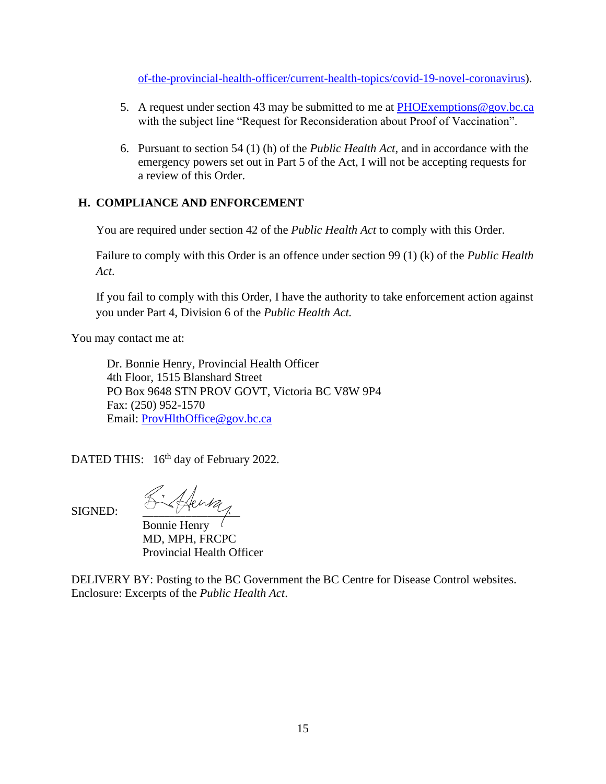[of-the-provincial-health-officer/current-health-topics/covid-19-novel-coronavirus\)](https://www2.gov.bc.ca/gov/content/health/about-bc-s-health-care-system/office-of-the-provincial-health-officer/current-health-topics/covid-19-novel-coronavirus).

- 5. A request under section 43 may be submitted to me at [PHOExemptions@gov.bc.ca](mailto:ProvHlthOffice@gov.bc.ca) with the subject line "Request for Reconsideration about Proof of Vaccination".
- 6. Pursuant to section 54 (1) (h) of the *Public Health Act*, and in accordance with the emergency powers set out in Part 5 of the Act, I will not be accepting requests for a review of this Order.

# **H. COMPLIANCE AND ENFORCEMENT**

You are required under section 42 of the *Public Health Act* to comply with this Order.

Failure to comply with this Order is an offence under section 99 (1) (k) of the *Public Health Act*.

If you fail to comply with this Order, I have the authority to take enforcement action against you under Part 4, Division 6 of the *Public Health Act.*

You may contact me at:

Dr. Bonnie Henry, Provincial Health Officer 4th Floor, 1515 Blanshard Street PO Box 9648 STN PROV GOVT, Victoria BC V8W 9P4 Fax: (250) 952-1570 Email: [ProvHlthOffice@gov.bc.ca](mailto:ProvHlthOffice@gov.bc.ca)

DATED THIS: 16<sup>th</sup> day of February 2022.

SIGNED: Richard

Bonnie Henry MD, MPH, FRCPC Provincial Health Officer

DELIVERY BY: Posting to the BC Government the BC Centre for Disease Control websites. Enclosure: Excerpts of the *Public Health Act*.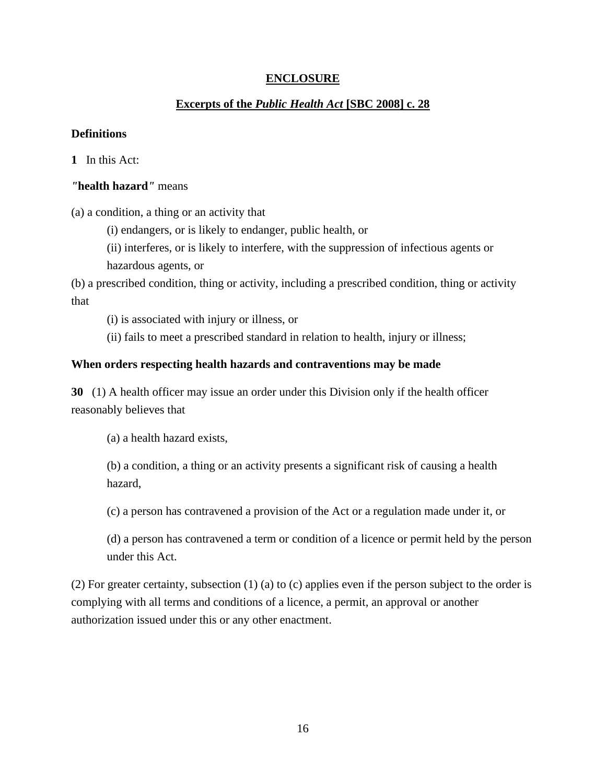# **ENCLOSURE**

# **Excerpts of the** *Public Health Act* **[SBC 2008] c. 28**

### **Definitions**

**1** In this Act:

## *"***health hazard***"* means

(a) a condition, a thing or an activity that

(i) endangers, or is likely to endanger, public health, or

(ii) interferes, or is likely to interfere, with the suppression of infectious agents or hazardous agents, or

(b) a prescribed condition, thing or activity, including a prescribed condition, thing or activity that

(i) is associated with injury or illness, or

(ii) fails to meet a prescribed standard in relation to health, injury or illness;

## **When orders respecting health hazards and contraventions may be made**

**30** (1) A health officer may issue an order under this Division only if the health officer reasonably believes that

(a) a health hazard exists,

(b) a condition, a thing or an activity presents a significant risk of causing a health hazard,

(c) a person has contravened a provision of the Act or a regulation made under it, or

(d) a person has contravened a term or condition of a licence or permit held by the person under this Act.

(2) For greater certainty, subsection (1) (a) to (c) applies even if the person subject to the order is complying with all terms and conditions of a licence, a permit, an approval or another authorization issued under this or any other enactment.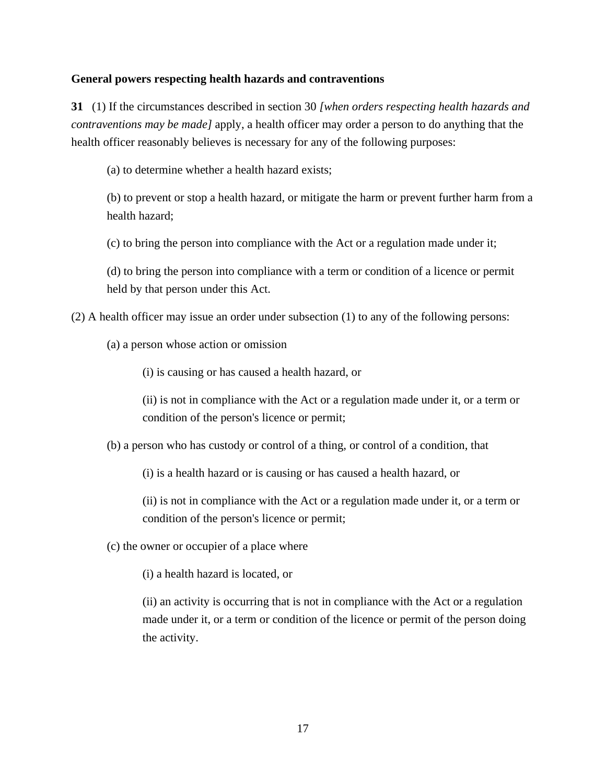### **General powers respecting health hazards and contraventions**

**31** (1) If the circumstances described in section 30 *[when orders respecting health hazards and contraventions may be made]* apply, a health officer may order a person to do anything that the health officer reasonably believes is necessary for any of the following purposes:

(a) to determine whether a health hazard exists;

(b) to prevent or stop a health hazard, or mitigate the harm or prevent further harm from a health hazard;

(c) to bring the person into compliance with the Act or a regulation made under it;

(d) to bring the person into compliance with a term or condition of a licence or permit held by that person under this Act.

(2) A health officer may issue an order under subsection (1) to any of the following persons:

(a) a person whose action or omission

(i) is causing or has caused a health hazard, or

(ii) is not in compliance with the Act or a regulation made under it, or a term or condition of the person's licence or permit;

(b) a person who has custody or control of a thing, or control of a condition, that

(i) is a health hazard or is causing or has caused a health hazard, or

(ii) is not in compliance with the Act or a regulation made under it, or a term or condition of the person's licence or permit;

(c) the owner or occupier of a place where

(i) a health hazard is located, or

(ii) an activity is occurring that is not in compliance with the Act or a regulation made under it, or a term or condition of the licence or permit of the person doing the activity.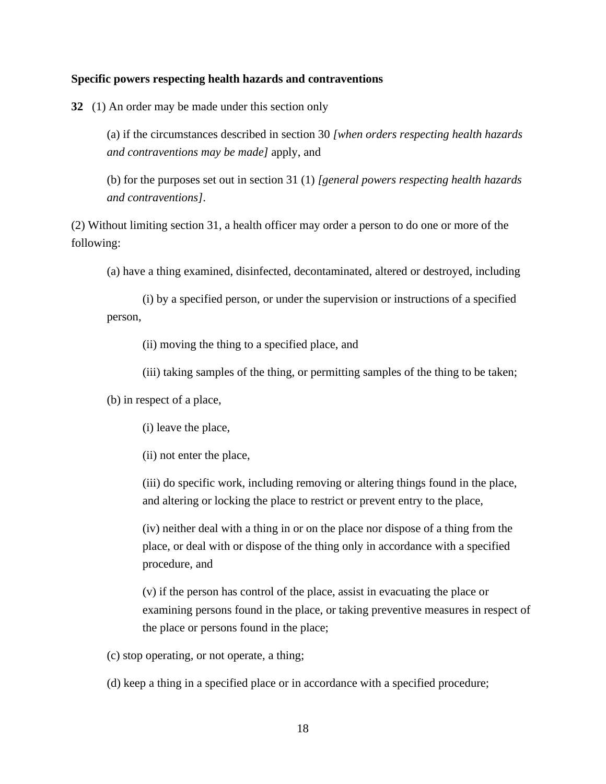#### **Specific powers respecting health hazards and contraventions**

**32** (1) An order may be made under this section only

(a) if the circumstances described in section 30 *[when orders respecting health hazards and contraventions may be made]* apply, and

(b) for the purposes set out in section 31 (1) *[general powers respecting health hazards and contraventions]*.

(2) Without limiting section 31, a health officer may order a person to do one or more of the following:

(a) have a thing examined, disinfected, decontaminated, altered or destroyed, including

(i) by a specified person, or under the supervision or instructions of a specified person,

(ii) moving the thing to a specified place, and

(iii) taking samples of the thing, or permitting samples of the thing to be taken;

(b) in respect of a place,

(i) leave the place,

(ii) not enter the place,

(iii) do specific work, including removing or altering things found in the place, and altering or locking the place to restrict or prevent entry to the place,

(iv) neither deal with a thing in or on the place nor dispose of a thing from the place, or deal with or dispose of the thing only in accordance with a specified procedure, and

(v) if the person has control of the place, assist in evacuating the place or examining persons found in the place, or taking preventive measures in respect of the place or persons found in the place;

(c) stop operating, or not operate, a thing;

(d) keep a thing in a specified place or in accordance with a specified procedure;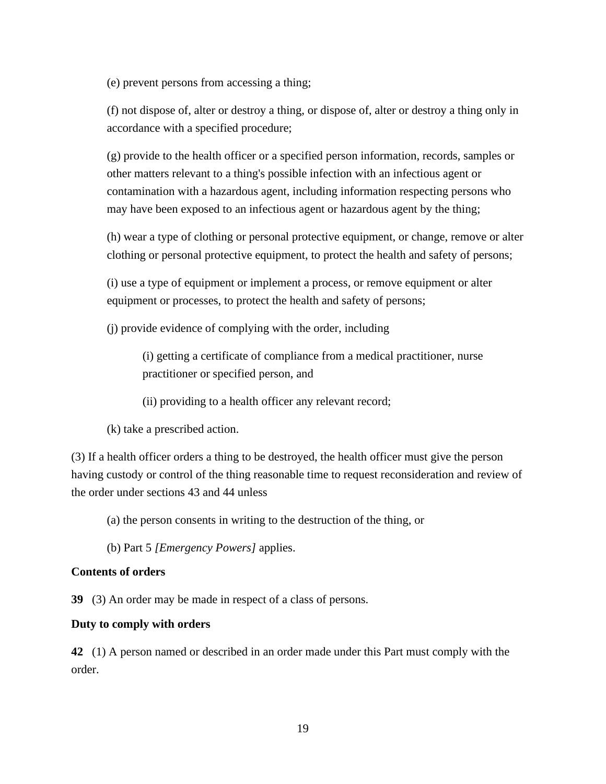(e) prevent persons from accessing a thing;

(f) not dispose of, alter or destroy a thing, or dispose of, alter or destroy a thing only in accordance with a specified procedure;

(g) provide to the health officer or a specified person information, records, samples or other matters relevant to a thing's possible infection with an infectious agent or contamination with a hazardous agent, including information respecting persons who may have been exposed to an infectious agent or hazardous agent by the thing;

(h) wear a type of clothing or personal protective equipment, or change, remove or alter clothing or personal protective equipment, to protect the health and safety of persons;

(i) use a type of equipment or implement a process, or remove equipment or alter equipment or processes, to protect the health and safety of persons;

(j) provide evidence of complying with the order, including

(i) getting a certificate of compliance from a medical practitioner, nurse practitioner or specified person, and

(ii) providing to a health officer any relevant record;

(k) take a prescribed action.

(3) If a health officer orders a thing to be destroyed, the health officer must give the person having custody or control of the thing reasonable time to request reconsideration and review of the order under sections 43 and 44 unless

(a) the person consents in writing to the destruction of the thing, or

(b) Part 5 *[Emergency Powers]* applies.

#### **Contents of orders**

**39** (3) An order may be made in respect of a class of persons.

#### **Duty to comply with orders**

**42** (1) A person named or described in an order made under this Part must comply with the order.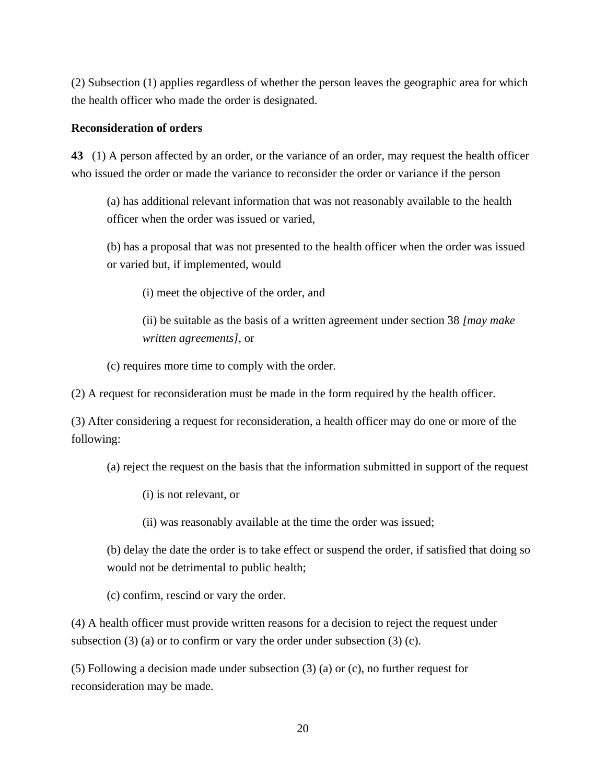(2) Subsection (1) applies regardless of whether the person leaves the geographic area for which the health officer who made the order is designated.

#### **Reconsideration of orders**

**43** (1) A person affected by an order, or the variance of an order, may request the health officer who issued the order or made the variance to reconsider the order or variance if the person

(a) has additional relevant information that was not reasonably available to the health officer when the order was issued or varied,

(b) has a proposal that was not presented to the health officer when the order was issued or varied but, if implemented, would

(i) meet the objective of the order, and

(ii) be suitable as the basis of a written agreement under section 38 *[may make written agreements]*, or

(c) requires more time to comply with the order.

(2) A request for reconsideration must be made in the form required by the health officer.

(3) After considering a request for reconsideration, a health officer may do one or more of the following:

(a) reject the request on the basis that the information submitted in support of the request

(i) is not relevant, or

(ii) was reasonably available at the time the order was issued;

(b) delay the date the order is to take effect or suspend the order, if satisfied that doing so would not be detrimental to public health;

(c) confirm, rescind or vary the order.

(4) A health officer must provide written reasons for a decision to reject the request under subsection  $(3)$  (a) or to confirm or vary the order under subsection  $(3)$  (c).

(5) Following a decision made under subsection (3) (a) or (c), no further request for reconsideration may be made.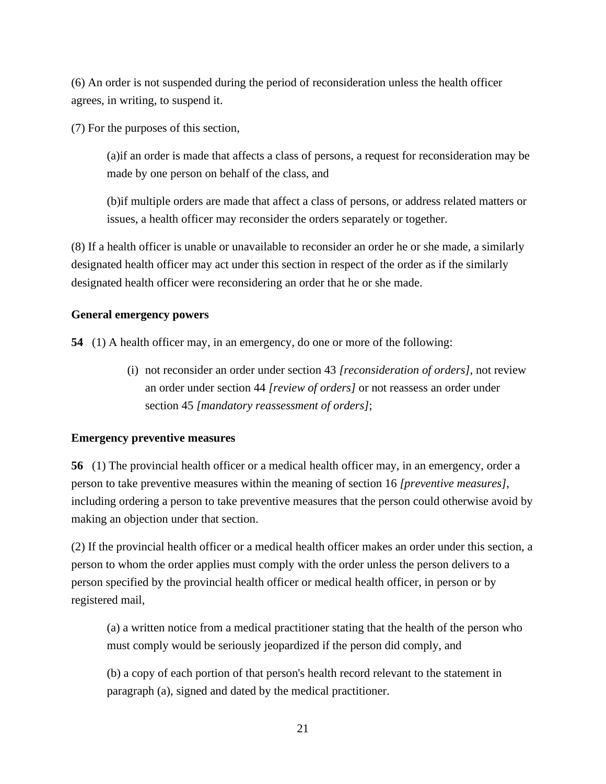(6) An order is not suspended during the period of reconsideration unless the health officer agrees, in writing, to suspend it.

(7) For the purposes of this section,

(a)if an order is made that affects a class of persons, a request for reconsideration may be made by one person on behalf of the class, and

(b)if multiple orders are made that affect a class of persons, or address related matters or issues, a health officer may reconsider the orders separately or together.

(8) If a health officer is unable or unavailable to reconsider an order he or she made, a similarly designated health officer may act under this section in respect of the order as if the similarly designated health officer were reconsidering an order that he or she made.

## **General emergency powers**

**54** (1) A health officer may, in an emergency, do one or more of the following:

(i) not reconsider an order under section 43 *[reconsideration of orders]*, not review an order under section 44 *[review of orders]* or not reassess an order under section 45 *[mandatory reassessment of orders]*;

## **Emergency preventive measures**

**56** (1) The provincial health officer or a medical health officer may, in an emergency, order a person to take preventive measures within the meaning of section 16 *[preventive measures]*, including ordering a person to take preventive measures that the person could otherwise avoid by making an objection under that section.

(2) If the provincial health officer or a medical health officer makes an order under this section, a person to whom the order applies must comply with the order unless the person delivers to a person specified by the provincial health officer or medical health officer, in person or by registered mail,

(a) a written notice from a medical practitioner stating that the health of the person who must comply would be seriously jeopardized if the person did comply, and

(b) a copy of each portion of that person's health record relevant to the statement in paragraph (a), signed and dated by the medical practitioner.